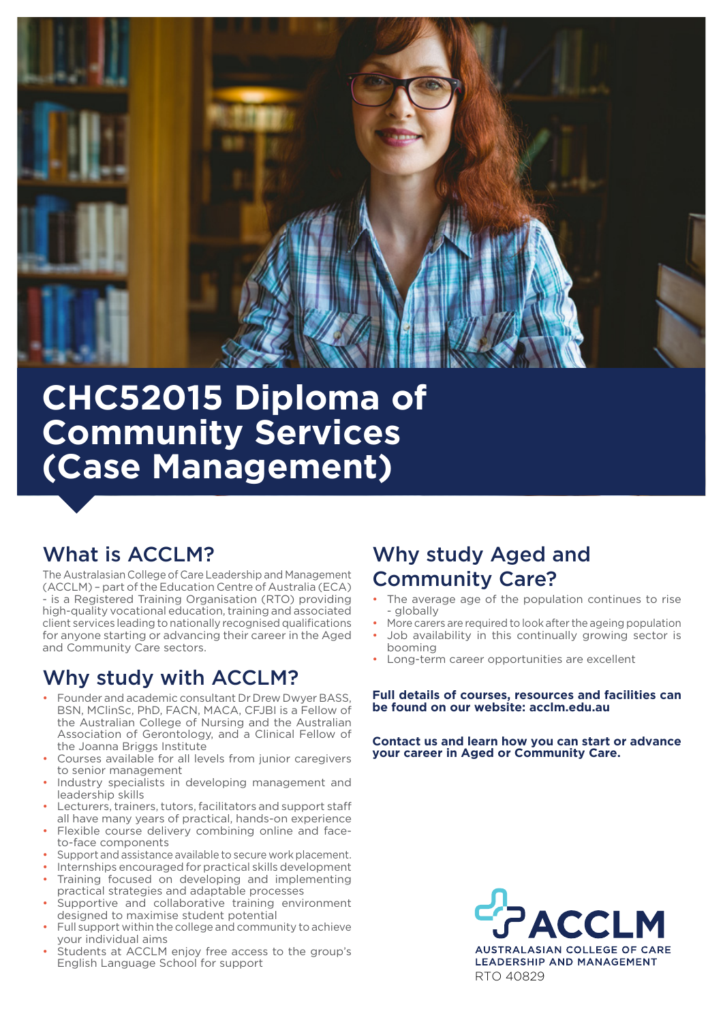

# **CHC52015 Diploma of Community Services (Case Management)**

# What is ACCLM?

The Australasian College of Care Leadership and Management (ACCLM) – part of the Education Centre of Australia (ECA) - is a Registered Training Organisation (RTO) providing high-quality vocational education, training and associated client services leading to nationally recognised qualifications for anyone starting or advancing their career in the Aged and Community Care sectors.

# Why study with ACCLM?

- Founder and academic consultant Dr Drew Dwyer BASS, BSN, MClinSc, PhD, FACN, MACA, CFJBI is a Fellow of the Australian College of Nursing and the Australian Association of Gerontology, and a Clinical Fellow of the Joanna Briggs Institute
- Courses available for all levels from junior caregivers to senior management
- Industry specialists in developing management and leadership skills
- Lecturers, trainers, tutors, facilitators and support staff all have many years of practical, hands-on experience
- Flexible course delivery combining online and faceto-face components
- Support and assistance available to secure work placement.
- Internships encouraged for practical skills development • Training focused on developing and implementing
- practical strategies and adaptable processes Supportive and collaborative training environment designed to maximise student potential
- Full support within the college and community to achieve your individual aims
- Students at ACCLM enjoy free access to the group's English Language School for support

# Why study Aged and Community Care?

- The average age of the population continues to rise - globally
- More carers are required to look after the ageing population
- Job availability in this continually growing sector is booming
- Long-term career opportunities are excellent

#### **Full details of courses, resources and facilities can be found on our website: acclm.edu.au**

**Contact us and learn how you can start or advance your career in Aged or Community Care.**